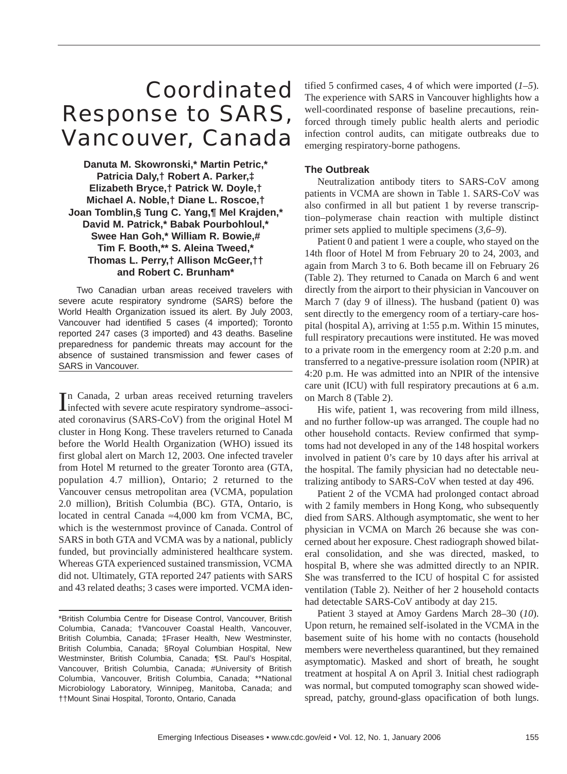# Coordinated Response to SARS, Vancouver, Canada

**Danuta M. Skowronski,\* Martin Petric,\* Patricia Daly,† Robert A. Parker,‡ Elizabeth Bryce,† Patrick W. Doyle,† Michael A. Noble,† Diane L. Roscoe,† Joan Tomblin,§ Tung C. Yang,¶ Mel Krajden,\* David M. Patrick,\* Babak Pourbohloul,\* Swee Han Goh,\* William R. Bowie,# Tim F. Booth,\*\* S. Aleina Tweed,\* Thomas L. Perry,† Allison McGeer,†† and Robert C. Brunham\***

Two Canadian urban areas received travelers with severe acute respiratory syndrome (SARS) before the World Health Organization issued its alert. By July 2003, Vancouver had identified 5 cases (4 imported); Toronto reported 247 cases (3 imported) and 43 deaths. Baseline preparedness for pandemic threats may account for the absence of sustained transmission and fewer cases of SARS in Vancouver.

In Canada, 2 urban areas received returning travelers<br>infected with severe acute respiratory syndrome–associn Canada, 2 urban areas received returning travelers ated coronavirus (SARS-CoV) from the original Hotel M cluster in Hong Kong. These travelers returned to Canada before the World Health Organization (WHO) issued its first global alert on March 12, 2003. One infected traveler from Hotel M returned to the greater Toronto area (GTA, population 4.7 million), Ontario; 2 returned to the Vancouver census metropolitan area (VCMA, population 2.0 million), British Columbia (BC). GTA, Ontario, is located in central Canada ≈4,000 km from VCMA, BC, which is the westernmost province of Canada. Control of SARS in both GTA and VCMA was by a national, publicly funded, but provincially administered healthcare system. Whereas GTA experienced sustained transmission, VCMA did not. Ultimately, GTA reported 247 patients with SARS and 43 related deaths; 3 cases were imported. VCMA identified 5 confirmed cases, 4 of which were imported (*1–5*). The experience with SARS in Vancouver highlights how a well-coordinated response of baseline precautions, reinforced through timely public health alerts and periodic infection control audits, can mitigate outbreaks due to emerging respiratory-borne pathogens.

## **The Outbreak**

Neutralization antibody titers to SARS-CoV among patients in VCMA are shown in Table 1. SARS-CoV was also confirmed in all but patient 1 by reverse transcription–polymerase chain reaction with multiple distinct primer sets applied to multiple specimens (*3,6–9*).

Patient 0 and patient 1 were a couple, who stayed on the 14th floor of Hotel M from February 20 to 24, 2003, and again from March 3 to 6. Both became ill on February 26 (Table 2). They returned to Canada on March 6 and went directly from the airport to their physician in Vancouver on March 7 (day 9 of illness). The husband (patient 0) was sent directly to the emergency room of a tertiary-care hospital (hospital A), arriving at 1:55 p.m. Within 15 minutes, full respiratory precautions were instituted. He was moved to a private room in the emergency room at 2:20 p.m. and transferred to a negative-pressure isolation room (NPIR) at 4:20 p.m. He was admitted into an NPIR of the intensive care unit (ICU) with full respiratory precautions at 6 a.m. on March 8 (Table 2).

His wife, patient 1, was recovering from mild illness, and no further follow-up was arranged. The couple had no other household contacts. Review confirmed that symptoms had not developed in any of the 148 hospital workers involved in patient 0's care by 10 days after his arrival at the hospital. The family physician had no detectable neutralizing antibody to SARS-CoV when tested at day 496.

Patient 2 of the VCMA had prolonged contact abroad with 2 family members in Hong Kong, who subsequently died from SARS. Although asymptomatic, she went to her physician in VCMA on March 26 because she was concerned about her exposure. Chest radiograph showed bilateral consolidation, and she was directed, masked, to hospital B, where she was admitted directly to an NPIR. She was transferred to the ICU of hospital C for assisted ventilation (Table 2). Neither of her 2 household contacts had detectable SARS-CoV antibody at day 215.

Patient 3 stayed at Amoy Gardens March 28–30 (*10*). Upon return, he remained self-isolated in the VCMA in the basement suite of his home with no contacts (household members were nevertheless quarantined, but they remained asymptomatic). Masked and short of breath, he sought treatment at hospital A on April 3. Initial chest radiograph was normal, but computed tomography scan showed widespread, patchy, ground-glass opacification of both lungs.

<sup>\*</sup>British Columbia Centre for Disease Control, Vancouver, British Columbia, Canada; †Vancouver Coastal Health, Vancouver, British Columbia, Canada; ‡Fraser Health, New Westminster, British Columbia, Canada; §Royal Columbian Hospital, New Westminster, British Columbia, Canada; ¶St. Paul's Hospital, Vancouver, British Columbia, Canada; #University of British Columbia, Vancouver, British Columbia, Canada; \*\*National Microbiology Laboratory, Winnipeg, Manitoba, Canada; and ††Mount Sinai Hospital, Toronto, Ontario, Canada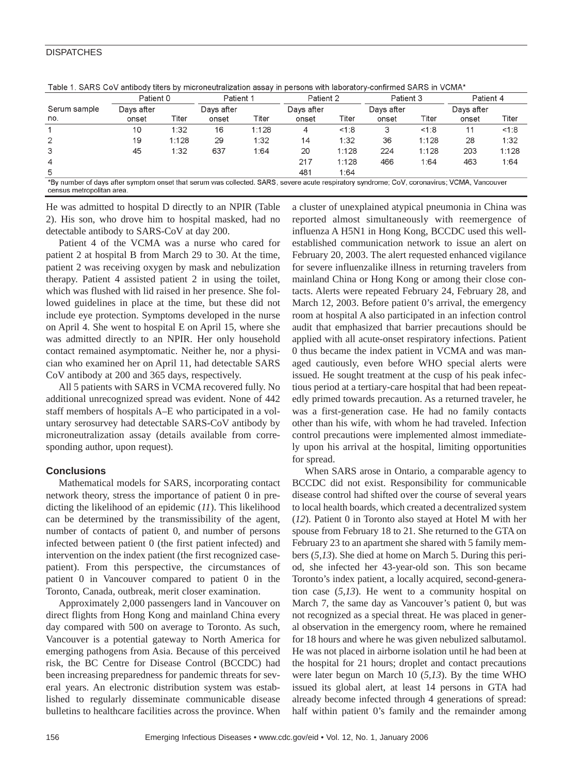#### **DISPATCHES**

|                     | Patient 0           |       | Patient 1           |       | Patient 2           |       | Patient 3           |       | Patient 4           |       |
|---------------------|---------------------|-------|---------------------|-------|---------------------|-------|---------------------|-------|---------------------|-------|
| Serum sample<br>no. | Days after<br>onset | Titer | Davs after<br>onset | Titer | Days after<br>onset | Titer | Days after<br>onset | Titer | Davs after<br>onset | Titer |
|                     | 10                  | 1:32  | 16                  | 1:128 | 4                   | <1.8  | 3                   | 1.8   | 11                  | <1:8  |
| 2                   | 19                  | 1:128 | 29                  | 1:32  | 14                  | 1:32  | 36                  | 1:128 | 28                  | 1:32  |
| 3                   | 45                  | 1:32  | 637                 | 1:64  | 20                  | 1.128 | 224                 | 1:128 | 203                 | 1:128 |
| $\overline{4}$      |                     |       |                     |       | 217                 | 1:128 | 466                 | 1:64  | 463                 | 1:64  |
| 5                   |                     |       |                     |       | 481                 | 1:64  |                     |       |                     |       |

Table 1, SARS CoV antibody titers by microneutralization assay in persons with laboratory-confirmed SARS in VCMA

He was admitted to hospital D directly to an NPIR (Table 2). His son, who drove him to hospital masked, had no detectable antibody to SARS-CoV at day 200.

Patient 4 of the VCMA was a nurse who cared for patient 2 at hospital B from March 29 to 30. At the time, patient 2 was receiving oxygen by mask and nebulization therapy. Patient 4 assisted patient 2 in using the toilet, which was flushed with lid raised in her presence. She followed guidelines in place at the time, but these did not include eye protection. Symptoms developed in the nurse on April 4. She went to hospital E on April 15, where she was admitted directly to an NPIR. Her only household contact remained asymptomatic. Neither he, nor a physician who examined her on April 11, had detectable SARS CoV antibody at 200 and 365 days, respectively.

All 5 patients with SARS in VCMA recovered fully. No additional unrecognized spread was evident. None of 442 staff members of hospitals A–E who participated in a voluntary serosurvey had detectable SARS-CoV antibody by microneutralization assay (details available from corresponding author, upon request).

### **Conclusions**

Mathematical models for SARS, incorporating contact network theory, stress the importance of patient 0 in predicting the likelihood of an epidemic (*11*). This likelihood can be determined by the transmissibility of the agent, number of contacts of patient 0, and number of persons infected between patient 0 (the first patient infected) and intervention on the index patient (the first recognized casepatient). From this perspective, the circumstances of patient 0 in Vancouver compared to patient 0 in the Toronto, Canada, outbreak, merit closer examination.

Approximately 2,000 passengers land in Vancouver on direct flights from Hong Kong and mainland China every day compared with 500 on average to Toronto. As such, Vancouver is a potential gateway to North America for emerging pathogens from Asia. Because of this perceived risk, the BC Centre for Disease Control (BCCDC) had been increasing preparedness for pandemic threats for several years. An electronic distribution system was established to regularly disseminate communicable disease bulletins to healthcare facilities across the province. When

a cluster of unexplained atypical pneumonia in China was reported almost simultaneously with reemergence of influenza A H5N1 in Hong Kong, BCCDC used this wellestablished communication network to issue an alert on February 20, 2003. The alert requested enhanced vigilance for severe influenzalike illness in returning travelers from mainland China or Hong Kong or among their close contacts. Alerts were repeated February 24, February 28, and March 12, 2003. Before patient 0's arrival, the emergency room at hospital A also participated in an infection control audit that emphasized that barrier precautions should be applied with all acute-onset respiratory infections. Patient 0 thus became the index patient in VCMA and was managed cautiously, even before WHO special alerts were issued. He sought treatment at the cusp of his peak infectious period at a tertiary-care hospital that had been repeatedly primed towards precaution. As a returned traveler, he was a first-generation case. He had no family contacts other than his wife, with whom he had traveled. Infection control precautions were implemented almost immediately upon his arrival at the hospital, limiting opportunities for spread.

When SARS arose in Ontario, a comparable agency to BCCDC did not exist. Responsibility for communicable disease control had shifted over the course of several years to local health boards, which created a decentralized system (*12*). Patient 0 in Toronto also stayed at Hotel M with her spouse from February 18 to 21. She returned to the GTA on February 23 to an apartment she shared with 5 family members (*5,13*). She died at home on March 5. During this period, she infected her 43-year-old son. This son became Toronto's index patient, a locally acquired, second-generation case (*5,13*). He went to a community hospital on March 7, the same day as Vancouver's patient 0, but was not recognized as a special threat. He was placed in general observation in the emergency room, where he remained for 18 hours and where he was given nebulized salbutamol. He was not placed in airborne isolation until he had been at the hospital for 21 hours; droplet and contact precautions were later begun on March 10 (*5,13*). By the time WHO issued its global alert, at least 14 persons in GTA had already become infected through 4 generations of spread: half within patient 0's family and the remainder among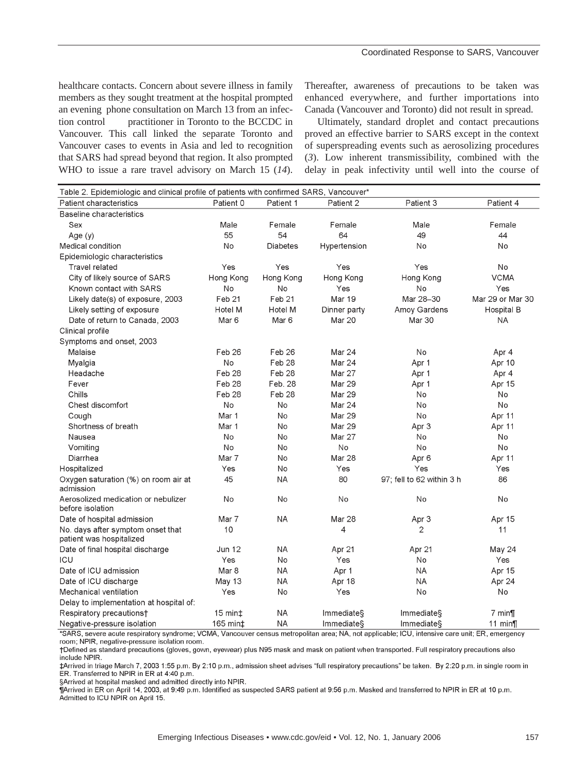healthcare contacts. Concern about severe illness in family members as they sought treatment at the hospital prompted an evening phone consultation on March 13 from an infection control practitioner in Toronto to the BCCDC in Vancouver. This call linked the separate Toronto and Vancouver cases to events in Asia and led to recognition that SARS had spread beyond that region. It also prompted WHO to issue a rare travel advisory on March 15 (*14*). Thereafter, awareness of precautions to be taken was enhanced everywhere, and further importations into Canada (Vancouver and Toronto) did not result in spread.

Ultimately, standard droplet and contact precautions proved an effective barrier to SARS except in the context of superspreading events such as aerosolizing procedures (*3*). Low inherent transmissibility, combined with the delay in peak infectivity until well into the course of

| Table 2. Epidemiologic and clinical profile of patients with confirmed SARS, Vancouver*                                                          |           |                   |                   |                           |                   |  |  |  |  |  |
|--------------------------------------------------------------------------------------------------------------------------------------------------|-----------|-------------------|-------------------|---------------------------|-------------------|--|--|--|--|--|
| Patient characteristics                                                                                                                          | Patient 0 | Patient 1         | Patient 2         | Patient 3                 | Patient 4         |  |  |  |  |  |
| Baseline characteristics                                                                                                                         |           |                   |                   |                           |                   |  |  |  |  |  |
| Sex                                                                                                                                              | Male      | Female            | Female            | Male                      | Female            |  |  |  |  |  |
| Age (y)                                                                                                                                          | 55        | 54                | 64                | 49                        | 44                |  |  |  |  |  |
| Medical condition                                                                                                                                | No        | Diabetes          | Hypertension      | No                        | No                |  |  |  |  |  |
| Epidemiologic characteristics                                                                                                                    |           |                   |                   |                           |                   |  |  |  |  |  |
| <b>Travel related</b>                                                                                                                            | Yes       | Yes               | Yes               | Yes                       | No                |  |  |  |  |  |
| City of likely source of SARS                                                                                                                    | Hong Kong | Hong Kong         | Hong Kong         | Hong Kong                 | <b>VCMA</b>       |  |  |  |  |  |
| Known contact with SARS                                                                                                                          | No        | No                | Yes               | No                        | Yes               |  |  |  |  |  |
| Likely date(s) of exposure, 2003                                                                                                                 | Feb 21    | Feb <sub>21</sub> | Mar 19            | Mar 28-30                 | Mar 29 or Mar 30  |  |  |  |  |  |
| Likely setting of exposure                                                                                                                       | Hotel M   | Hotel M           | Dinner party      | Amov Gardens              | <b>Hospital B</b> |  |  |  |  |  |
| Date of return to Canada, 2003                                                                                                                   | Mar 6     | Mar 6             | <b>Mar 20</b>     | Mar 30                    | <b>NA</b>         |  |  |  |  |  |
| Clinical profile                                                                                                                                 |           |                   |                   |                           |                   |  |  |  |  |  |
| Symptoms and onset, 2003                                                                                                                         |           |                   |                   |                           |                   |  |  |  |  |  |
| Malaise                                                                                                                                          | Feb 26    | Feb 26            | Mar 24            | No                        | Apr 4             |  |  |  |  |  |
| Myalgia                                                                                                                                          | No        | Feb <sub>28</sub> | Mar 24            | Apr 1                     | Apr 10            |  |  |  |  |  |
| Headache                                                                                                                                         | Feb 28    | Feb 28            | Mar 27            | Apr 1                     | Apr 4             |  |  |  |  |  |
| Fever                                                                                                                                            | Feb 28    | Feb. 28           | <b>Mar 29</b>     | Apr 1                     | Apr 15            |  |  |  |  |  |
| Chills                                                                                                                                           | Feb 28    | Feb <sub>28</sub> | <b>Mar 29</b>     | No                        | No                |  |  |  |  |  |
| Chest discomfort                                                                                                                                 | No        | No                | <b>Mar 24</b>     | No                        | No                |  |  |  |  |  |
| Cough                                                                                                                                            | Mar 1     | No                | <b>Mar 29</b>     | No                        | Apr 11            |  |  |  |  |  |
| Shortness of breath                                                                                                                              | Mar 1     | No                | <b>Mar 29</b>     | Apr 3                     | Apr 11            |  |  |  |  |  |
| Nausea                                                                                                                                           | No.       | No                | <b>Mar 27</b>     | No                        | No                |  |  |  |  |  |
| Vomiting                                                                                                                                         | No        | No                | No                | No                        | No.               |  |  |  |  |  |
| Diarrhea                                                                                                                                         | Mar 7     | No                | <b>Mar 28</b>     | Apr 6                     | Apr 11            |  |  |  |  |  |
| Hospitalized                                                                                                                                     | Yes       | No                | Yes               | Yes                       | Yes               |  |  |  |  |  |
| Oxygen saturation (%) on room air at<br>admission                                                                                                | 45        | <b>NA</b>         | 80                | 97; fell to 62 within 3 h | 86                |  |  |  |  |  |
| Aerosolized medication or nebulizer<br>before isolation                                                                                          | No        | No                | No                | No                        | No                |  |  |  |  |  |
| Date of hospital admission                                                                                                                       | Mar 7     | NA                | Mar 28            | Apr 3                     | Apr 15            |  |  |  |  |  |
| No. days after symptom onset that<br>patient was hospitalized                                                                                    | 10        |                   | 4                 | 2                         | 11                |  |  |  |  |  |
| Date of final hospital discharge                                                                                                                 | Jun 12    | <b>NA</b>         | Apr 21            | Apr 21                    | May 24            |  |  |  |  |  |
| ICU                                                                                                                                              | Yes       | No                | Yes               | No                        | Yes               |  |  |  |  |  |
| Date of ICU admission                                                                                                                            | Mar 8     | ΝA                | Apr 1             | ΝA                        | Apr 15            |  |  |  |  |  |
| Date of ICU discharge                                                                                                                            | May 13    | <b>NA</b>         | Apr 18            | ΝA                        | Apr 24            |  |  |  |  |  |
| Mechanical ventilation                                                                                                                           | Yes       | No                | Yes               | No                        | No                |  |  |  |  |  |
| Delay to implementation at hospital of:                                                                                                          |           |                   |                   |                           |                   |  |  |  |  |  |
| Respiratory precautionst                                                                                                                         | $15 min+$ | <b>NA</b>         | Immediates        | <b>Immediate</b>          | $7 \text{ min}$   |  |  |  |  |  |
| Negative-pressure isolation                                                                                                                      | 165 min‡  | <b>NA</b>         | <b>Immediates</b> | Immediates                | 11 $min$          |  |  |  |  |  |
| *SARS, severe acute respiratory syndrome: VCMA, Vancouver census metropolitan area: NA, not applicable: ICII, intensive care unit: ER, emergency |           |                   |                   |                           |                   |  |  |  |  |  |

vA, not applicable; ICU, intensi ııt; ER, emergency room; NPIR, negative-pressure isolation room.

†Defined as standard precautions (gloves, gown, eyewear) plus N95 mask and mask on patient when transported. Full respiratory precautions also include NPIR.

‡Arrived in triage March 7, 2003 1:55 p.m. By 2:10 p.m., admission sheet advises "full respiratory precautions" be taken. By 2:20 p.m. in single room in ER. Transferred to NPIR in ER at 4:40 p.m.

§Arrived at hospital masked and admitted directly into NPIR.

¶Arrived in ER on April 14, 2003, at 9:49 p.m. Identified as suspected SARS patient at 9:56 p.m. Masked and transferred to NPIR in ER at 10 p.m. Admitted to ICU NPIR on April 15.